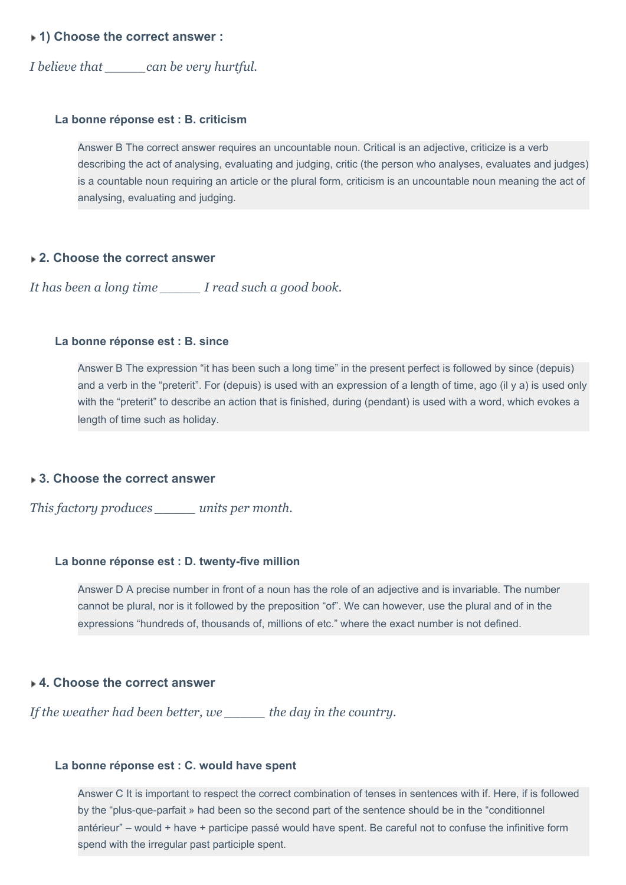### **1) Choose the correct answer :**

*I believe that \_\_\_\_\_can be very hurtful.*

#### **La bonne réponse est : B. criticism**

Answer B The correct answer requires an uncountable noun. Critical is an adjective, criticize is a verb describing the act of analysing, evaluating and judging, critic (the person who analyses, evaluates and judges) is a countable noun requiring an article or the plural form, criticism is an uncountable noun meaning the act of analysing, evaluating and judging.

#### **2. Choose the correct answer**

*It has been a long time \_\_\_\_\_ I read such a good book.*

#### **La bonne réponse est : B. since**

Answer B The expression "it has been such a long time" in the present perfect is followed by since (depuis) and a verb in the "preterit". For (depuis) is used with an expression of a length of time, ago (il y a) is used only with the "preterit" to describe an action that is finished, during (pendant) is used with a word, which evokes a length of time such as holiday.

### **3. Choose the correct answer**

*This factory produces \_\_\_\_\_ units per month.*

#### **La bonne réponse est : D. twenty-five million**

Answer D A precise number in front of a noun has the role of an adjective and is invariable. The number cannot be plural, nor is it followed by the preposition "of". We can however, use the plural and of in the expressions "hundreds of, thousands of, millions of etc." where the exact number is not defined.

# **4. Choose the correct answer**

*If the weather had been better, we \_\_\_\_\_ the day in the country.*

#### **La bonne réponse est : C. would have spent**

Answer C It is important to respect the correct combination of tenses in sentences with if. Here, if is followed by the "plus-que-parfait » had been so the second part of the sentence should be in the "conditionnel antérieur" – would + have + participe passé would have spent. Be careful not to confuse the infinitive form spend with the irregular past participle spent.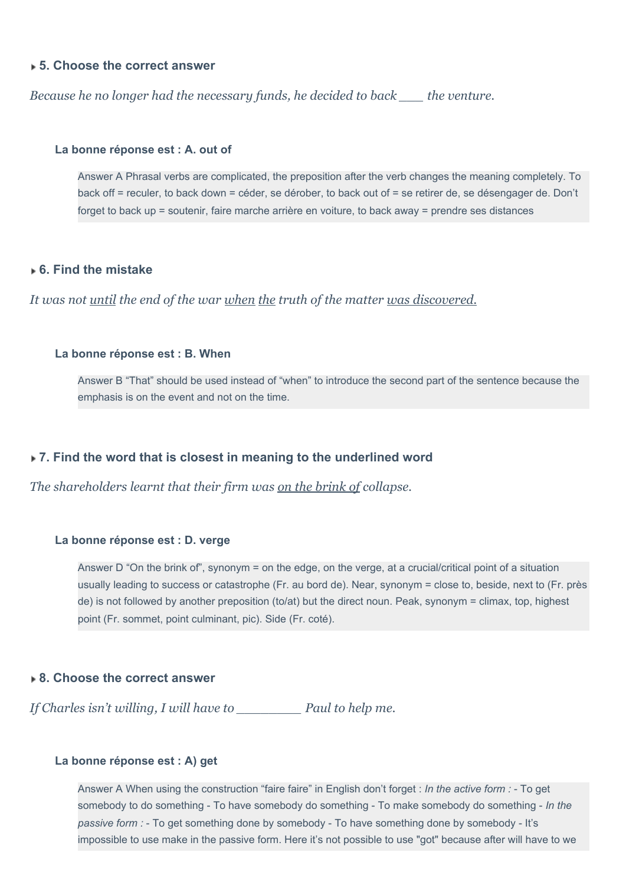# **5. Choose the correct answer**

*Because he no longer had the necessary funds, he decided to back \_\_\_ the venture.*

#### **La bonne réponse est : A. out of**

Answer A Phrasal verbs are complicated, the preposition after the verb changes the meaning completely. To back off = reculer, to back down = céder, se dérober, to back out of = se retirer de, se désengager de. Don't forget to back up = soutenir, faire marche arrière en voiture, to back away = prendre ses distances

### **6. Find the mistake**

*It was not until the end of the war when the truth of the matter was discovered.*

#### **La bonne réponse est : B. When**

Answer B "That" should be used instead of "when" to introduce the second part of the sentence because the emphasis is on the event and not on the time.

# **7. Find the word that is closest in meaning to the underlined word**

*The shareholders learnt that their firm was on the brink of collapse.*

### **La bonne réponse est : D. verge**

Answer D "On the brink of", synonym = on the edge, on the verge, at a crucial/critical point of a situation usually leading to success or catastrophe (Fr. au bord de). Near, synonym = close to, beside, next to (Fr. près de) is not followed by another preposition (to/at) but the direct noun. Peak, synonym = climax, top, highest point (Fr. sommet, point culminant, pic). Side (Fr. coté).

### **8. Choose the correct answer**

*If Charles isn't willing, I will have to \_\_\_\_\_\_\_\_ Paul to help me.*

#### **La bonne réponse est : A) get**

Answer A When using the construction "faire faire" in English don't forget : *In the active form :* - To get somebody to do something - To have somebody do something - To make somebody do something - *In the passive form :* - To get something done by somebody - To have something done by somebody - It's impossible to use make in the passive form. Here it's not possible to use "got" because after will have to we